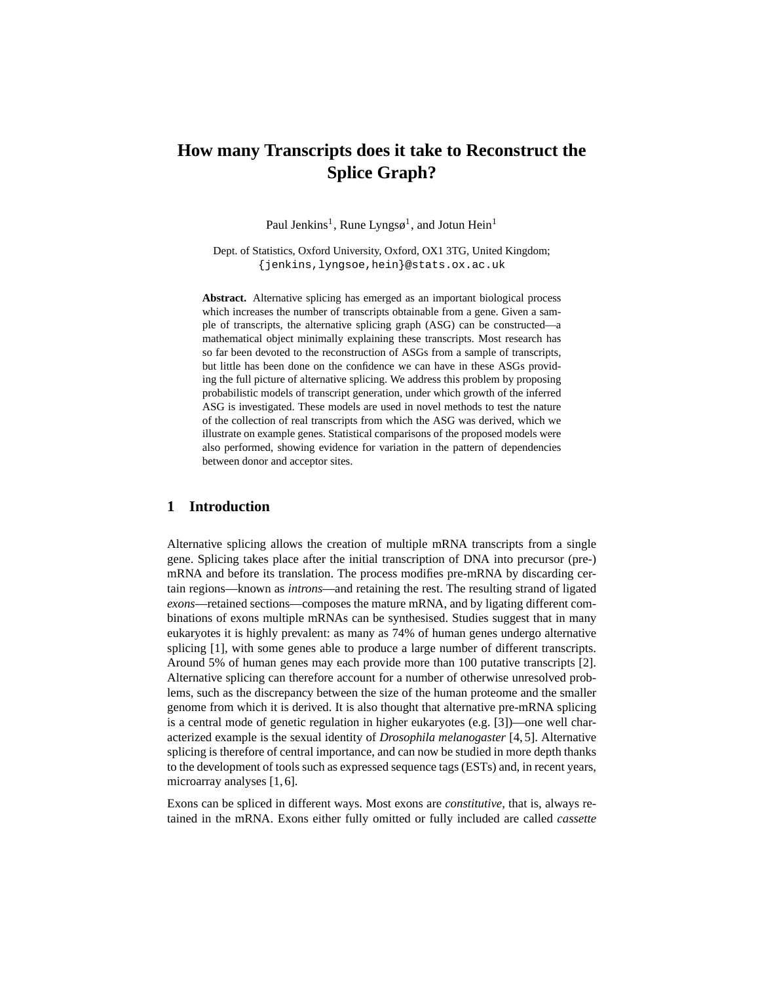# **How many Transcripts does it take to Reconstruct the Splice Graph?**

Paul Jenkins<sup>1</sup>, Rune Lyngsø<sup>1</sup>, and Jotun Hein<sup>1</sup>

Dept. of Statistics, Oxford University, Oxford, OX1 3TG, United Kingdom; {jenkins,lyngsoe,hein}@stats.ox.ac.uk

**Abstract.** Alternative splicing has emerged as an important biological process which increases the number of transcripts obtainable from a gene. Given a sample of transcripts, the alternative splicing graph (ASG) can be constructed—a mathematical object minimally explaining these transcripts. Most research has so far been devoted to the reconstruction of ASGs from a sample of transcripts, but little has been done on the confidence we can have in these ASGs providing the full picture of alternative splicing. We address this problem by proposing probabilistic models of transcript generation, under which growth of the inferred ASG is investigated. These models are used in novel methods to test the nature of the collection of real transcripts from which the ASG was derived, which we illustrate on example genes. Statistical comparisons of the proposed models were also performed, showing evidence for variation in the pattern of dependencies between donor and acceptor sites.

## **1 Introduction**

Alternative splicing allows the creation of multiple mRNA transcripts from a single gene. Splicing takes place after the initial transcription of DNA into precursor (pre-) mRNA and before its translation. The process modifies pre-mRNA by discarding certain regions—known as *introns*—and retaining the rest. The resulting strand of ligated *exons*—retained sections—composes the mature mRNA, and by ligating different combinations of exons multiple mRNAs can be synthesised. Studies suggest that in many eukaryotes it is highly prevalent: as many as 74% of human genes undergo alternative splicing [1], with some genes able to produce a large number of different transcripts. Around 5% of human genes may each provide more than 100 putative transcripts [2]. Alternative splicing can therefore account for a number of otherwise unresolved problems, such as the discrepancy between the size of the human proteome and the smaller genome from which it is derived. It is also thought that alternative pre-mRNA splicing is a central mode of genetic regulation in higher eukaryotes (e.g. [3])—one well characterized example is the sexual identity of *Drosophila melanogaster* [4, 5]. Alternative splicing is therefore of central importance, and can now be studied in more depth thanks to the development of tools such as expressed sequence tags (ESTs) and, in recent years, microarray analyses [1, 6].

Exons can be spliced in different ways. Most exons are *constitutive*, that is, always retained in the mRNA. Exons either fully omitted or fully included are called *cassette*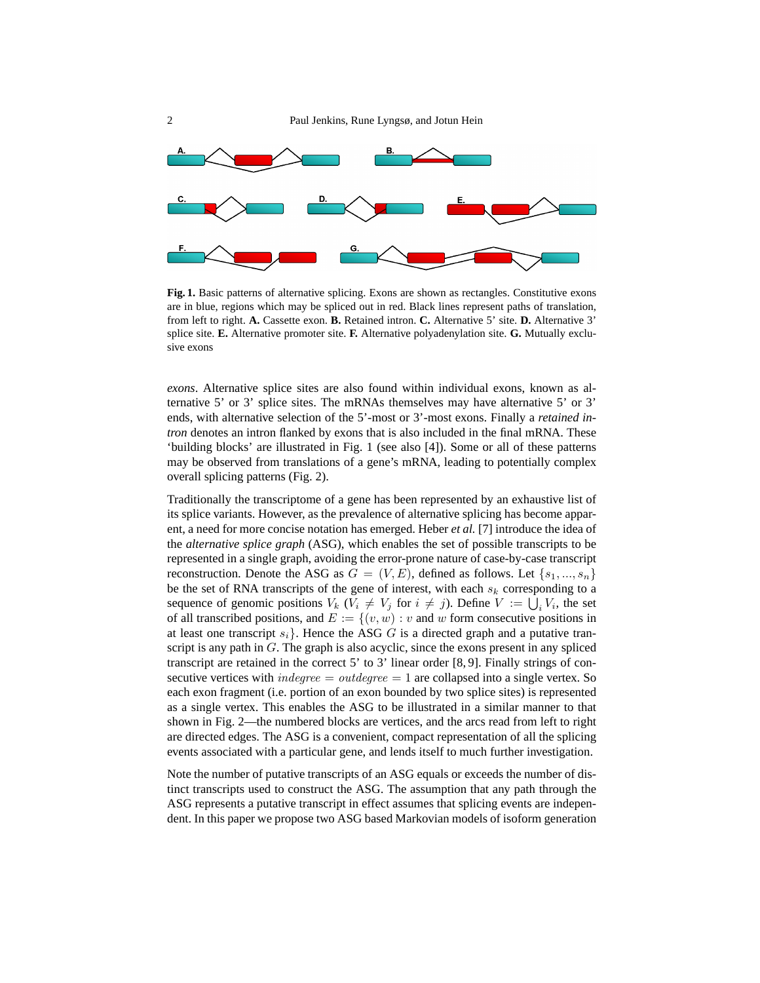

**Fig. 1.** Basic patterns of alternative splicing. Exons are shown as rectangles. Constitutive exons are in blue, regions which may be spliced out in red. Black lines represent paths of translation, from left to right. **A.** Cassette exon. **B.** Retained intron. **C.** Alternative 5' site. **D.** Alternative 3' splice site. **E.** Alternative promoter site. **F.** Alternative polyadenylation site. **G.** Mutually exclusive exons

*exons*. Alternative splice sites are also found within individual exons, known as alternative 5' or 3' splice sites. The mRNAs themselves may have alternative 5' or 3' ends, with alternative selection of the 5'-most or 3'-most exons. Finally a *retained intron* denotes an intron flanked by exons that is also included in the final mRNA. These 'building blocks' are illustrated in Fig. 1 (see also [4]). Some or all of these patterns may be observed from translations of a gene's mRNA, leading to potentially complex overall splicing patterns (Fig. 2).

Traditionally the transcriptome of a gene has been represented by an exhaustive list of its splice variants. However, as the prevalence of alternative splicing has become apparent, a need for more concise notation has emerged. Heber *et al.* [7] introduce the idea of the *alternative splice graph* (ASG), which enables the set of possible transcripts to be represented in a single graph, avoiding the error-prone nature of case-by-case transcript reconstruction. Denote the ASG as  $G = (V, E)$ , defined as follows. Let  $\{s_1, ..., s_n\}$ be the set of RNA transcripts of the gene of interest, with each  $s_k$  corresponding to a sequence of genomic positions  $V_k$   $(V_i \neq V_j$  for  $i \neq j)$ . Define  $V := \bigcup_i V_i$ , the set of all transcribed positions, and  $E := \{(v, w) : v$  and w form consecutive positions in at least one transcript  $s_i$ . Hence the ASG G is a directed graph and a putative transcript is any path in  $G$ . The graph is also acyclic, since the exons present in any spliced transcript are retained in the correct 5' to 3' linear order [8, 9]. Finally strings of consecutive vertices with *indegree* = *outdegree* = 1 are collapsed into a single vertex. So each exon fragment (i.e. portion of an exon bounded by two splice sites) is represented as a single vertex. This enables the ASG to be illustrated in a similar manner to that shown in Fig. 2—the numbered blocks are vertices, and the arcs read from left to right are directed edges. The ASG is a convenient, compact representation of all the splicing events associated with a particular gene, and lends itself to much further investigation.

Note the number of putative transcripts of an ASG equals or exceeds the number of distinct transcripts used to construct the ASG. The assumption that any path through the ASG represents a putative transcript in effect assumes that splicing events are independent. In this paper we propose two ASG based Markovian models of isoform generation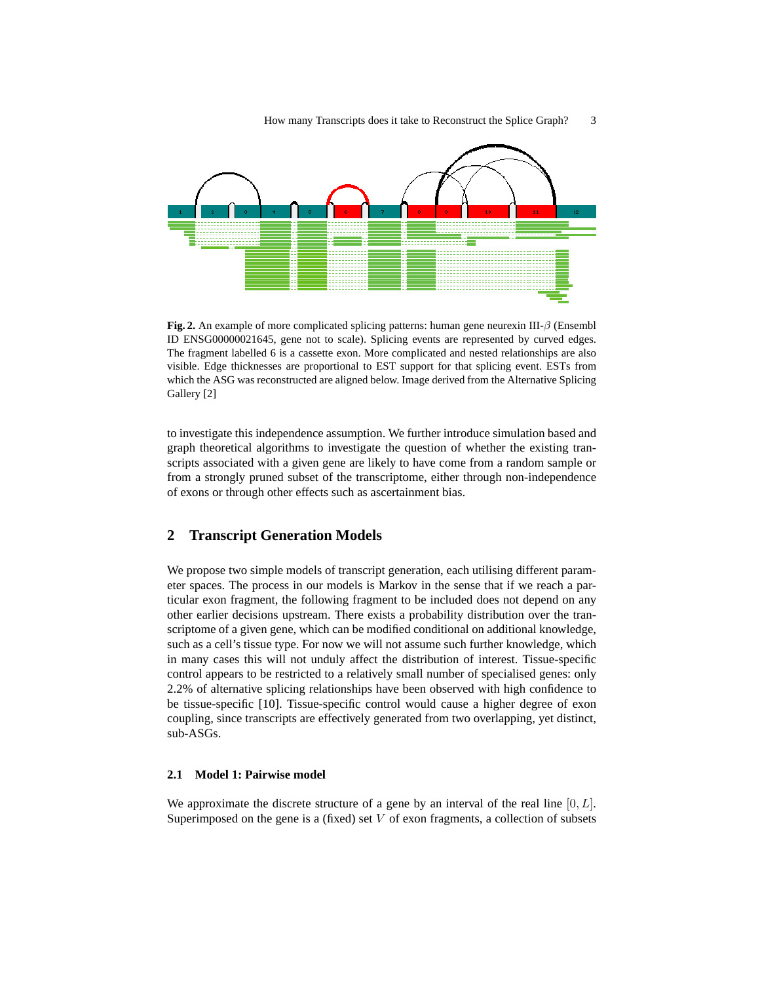

**Fig. 2.** An example of more complicated splicing patterns: human gene neurexin III-β (Ensembl ID ENSG00000021645, gene not to scale). Splicing events are represented by curved edges. The fragment labelled 6 is a cassette exon. More complicated and nested relationships are also visible. Edge thicknesses are proportional to EST support for that splicing event. ESTs from which the ASG was reconstructed are aligned below. Image derived from the Alternative Splicing Gallery [2]

to investigate this independence assumption. We further introduce simulation based and graph theoretical algorithms to investigate the question of whether the existing transcripts associated with a given gene are likely to have come from a random sample or from a strongly pruned subset of the transcriptome, either through non-independence of exons or through other effects such as ascertainment bias.

## **2 Transcript Generation Models**

We propose two simple models of transcript generation, each utilising different parameter spaces. The process in our models is Markov in the sense that if we reach a particular exon fragment, the following fragment to be included does not depend on any other earlier decisions upstream. There exists a probability distribution over the transcriptome of a given gene, which can be modified conditional on additional knowledge, such as a cell's tissue type. For now we will not assume such further knowledge, which in many cases this will not unduly affect the distribution of interest. Tissue-specific control appears to be restricted to a relatively small number of specialised genes: only 2.2% of alternative splicing relationships have been observed with high confidence to be tissue-specific [10]. Tissue-specific control would cause a higher degree of exon coupling, since transcripts are effectively generated from two overlapping, yet distinct, sub-ASGs.

#### **2.1 Model 1: Pairwise model**

We approximate the discrete structure of a gene by an interval of the real line  $[0, L]$ . Superimposed on the gene is a (fixed) set  $V$  of exon fragments, a collection of subsets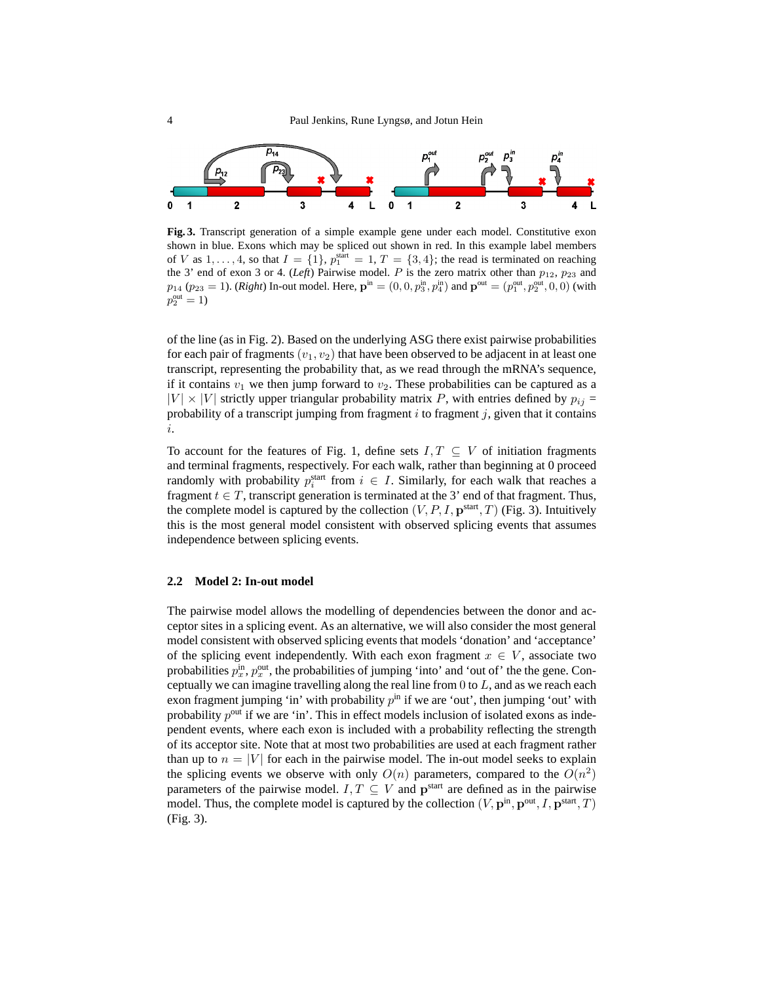

**Fig. 3.** Transcript generation of a simple example gene under each model. Constitutive exon shown in blue. Exons which may be spliced out shown in red. In this example label members of V as  $1, \ldots, 4$ , so that  $I = \{1\}$ ,  $p_1^{\text{start}} = 1$ ,  $T = \{3, 4\}$ ; the read is terminated on reaching the 3' end of exon 3 or 4. (*Left*) Pairwise model. P is the zero matrix other than  $p_{12}$ ,  $p_{23}$  and  $p_{14} (p_{23} = 1)$ . (*Right*) In-out model. Here,  $\mathbf{p}^{\text{in}} = (0, 0, p_3^{\text{in}}, p_4^{\text{in}})$  and  $\mathbf{p}^{\text{out}} = (p_1^{\text{out}}, p_2^{\text{out}}, 0, 0)$  (with  $p_2^{\text{out}} = 1$ 

of the line (as in Fig. 2). Based on the underlying ASG there exist pairwise probabilities for each pair of fragments  $(v_1, v_2)$  that have been observed to be adjacent in at least one transcript, representing the probability that, as we read through the mRNA's sequence, if it contains  $v_1$  we then jump forward to  $v_2$ . These probabilities can be captured as a  $|V| \times |V|$  strictly upper triangular probability matrix P, with entries defined by  $p_{ij}$  = probability of a transcript jumping from fragment  $i$  to fragment  $j$ , given that it contains i.

To account for the features of Fig. 1, define sets  $I, T \subseteq V$  of initiation fragments and terminal fragments, respectively. For each walk, rather than beginning at 0 proceed randomly with probability  $p_i^{\text{start}}$  from  $i \in I$ . Similarly, for each walk that reaches a fragment  $t \in T$ , transcript generation is terminated at the 3' end of that fragment. Thus, the complete model is captured by the collection  $(V, P, I, \mathbf{p}^{\text{start}}, T)$  (Fig. 3). Intuitively this is the most general model consistent with observed splicing events that assumes independence between splicing events.

#### **2.2 Model 2: In-out model**

The pairwise model allows the modelling of dependencies between the donor and acceptor sites in a splicing event. As an alternative, we will also consider the most general model consistent with observed splicing events that models 'donation' and 'acceptance' of the splicing event independently. With each exon fragment  $x \in V$ , associate two probabilities  $p_x^{\text{in}}, p_x^{\text{out}}$ , the probabilities of jumping 'into' and 'out of' the the gene. Conceptually we can imagine travelling along the real line from  $0$  to  $L$ , and as we reach each exon fragment jumping 'in' with probability  $p<sup>in</sup>$  if we are 'out', then jumping 'out' with probability  $p^{\text{out}}$  if we are 'in'. This in effect models inclusion of isolated exons as independent events, where each exon is included with a probability reflecting the strength of its acceptor site. Note that at most two probabilities are used at each fragment rather than up to  $n = |V|$  for each in the pairwise model. The in-out model seeks to explain the splicing events we observe with only  $O(n)$  parameters, compared to the  $O(n^2)$ parameters of the pairwise model.  $I, T \subseteq V$  and  $p^{start}$  are defined as in the pairwise model. Thus, the complete model is captured by the collection  $(V, \mathbf{p}^{\text{in}}, \mathbf{p}^{\text{out}}, I, \mathbf{p}^{\text{start}}, T)$ (Fig. 3).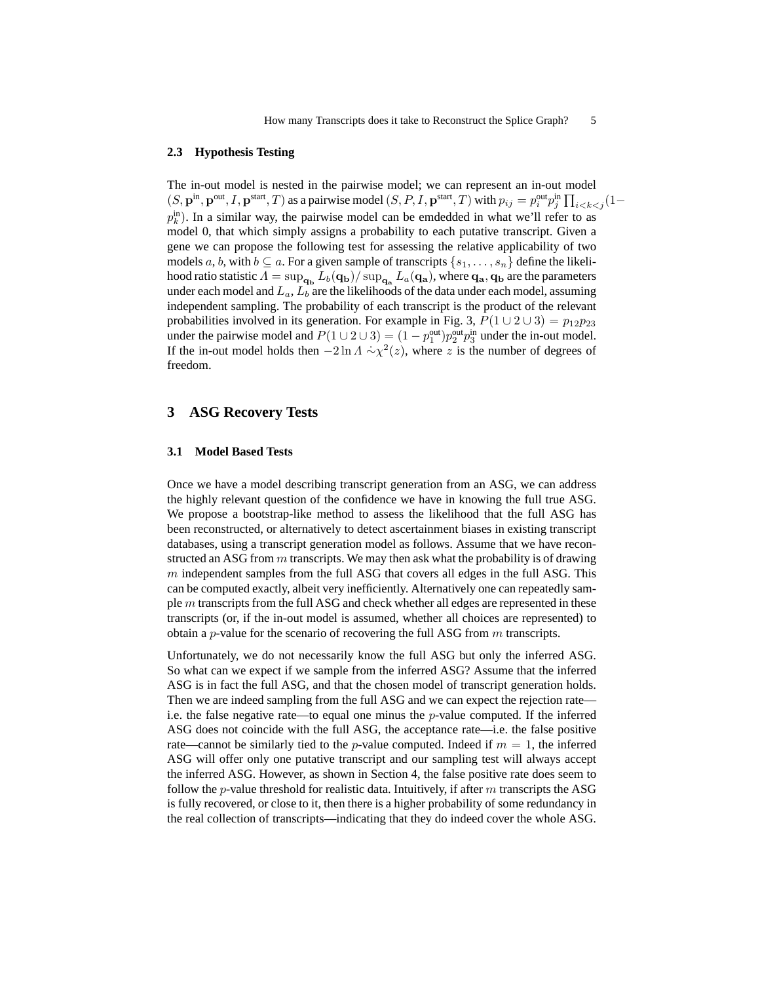#### **2.3 Hypothesis Testing**

The in-out model is nested in the pairwise model; we can represent an in-out model  $(S, \mathbf{p}^{\text{in}}, \mathbf{p}^{\text{out}}, I, \mathbf{p}^{\text{start}}, T)$  as a pairwise model  $(S, P, I, \mathbf{p}^{\text{start}}, T)$  with  $p_{ij} = p_i^{\text{out}} p_j^{\text{in}} \prod_{i < k < j} (1 p_k^{\text{in}}$ ). In a similar way, the pairwise model can be emdedded in what we'll refer to as model 0, that which simply assigns a probability to each putative transcript. Given a gene we can propose the following test for assessing the relative applicability of two models a, b, with  $b \subseteq a$ . For a given sample of transcripts  $\{s_1, \ldots, s_n\}$  define the likelihood ratio statistic  $\Lambda = \sup_{\bf q_b} L_b({\bf q_b})/\sup_{\bf q_a} L_a({\bf q_a})$ , where  ${\bf q_a,q_b}$  are the parameters under each model and  $L_a$ ,  $\overrightarrow{L_b}$  are the likelihoods of the data under each model, assuming independent sampling. The probability of each transcript is the product of the relevant probabilities involved in its generation. For example in Fig. 3,  $P(1 \cup 2 \cup 3) = p_{12}p_{23}$ under the pairwise model and  $P(1 \cup 2 \cup 3) = (1 - p_1^{\text{out}})p_2^{\text{out}}p_3^{\text{in}}$  under the in-out model. If the in-out model holds then  $-2 \ln A \sim \chi^2(z)$ , where z is the number of degrees of freedom.

## **3 ASG Recovery Tests**

#### **3.1 Model Based Tests**

Once we have a model describing transcript generation from an ASG, we can address the highly relevant question of the confidence we have in knowing the full true ASG. We propose a bootstrap-like method to assess the likelihood that the full ASG has been reconstructed, or alternatively to detect ascertainment biases in existing transcript databases, using a transcript generation model as follows. Assume that we have reconstructed an ASG from  $m$  transcripts. We may then ask what the probability is of drawing  $m$  independent samples from the full ASG that covers all edges in the full ASG. This can be computed exactly, albeit very inefficiently. Alternatively one can repeatedly sample m transcripts from the full ASG and check whether all edges are represented in these transcripts (or, if the in-out model is assumed, whether all choices are represented) to obtain a *p*-value for the scenario of recovering the full ASG from  $m$  transcripts.

Unfortunately, we do not necessarily know the full ASG but only the inferred ASG. So what can we expect if we sample from the inferred ASG? Assume that the inferred ASG is in fact the full ASG, and that the chosen model of transcript generation holds. Then we are indeed sampling from the full ASG and we can expect the rejection rate i.e. the false negative rate—to equal one minus the  $p$ -value computed. If the inferred ASG does not coincide with the full ASG, the acceptance rate—i.e. the false positive rate—cannot be similarly tied to the *p*-value computed. Indeed if  $m = 1$ , the inferred ASG will offer only one putative transcript and our sampling test will always accept the inferred ASG. However, as shown in Section 4, the false positive rate does seem to follow the *p*-value threshold for realistic data. Intuitively, if after m transcripts the ASG is fully recovered, or close to it, then there is a higher probability of some redundancy in the real collection of transcripts—indicating that they do indeed cover the whole ASG.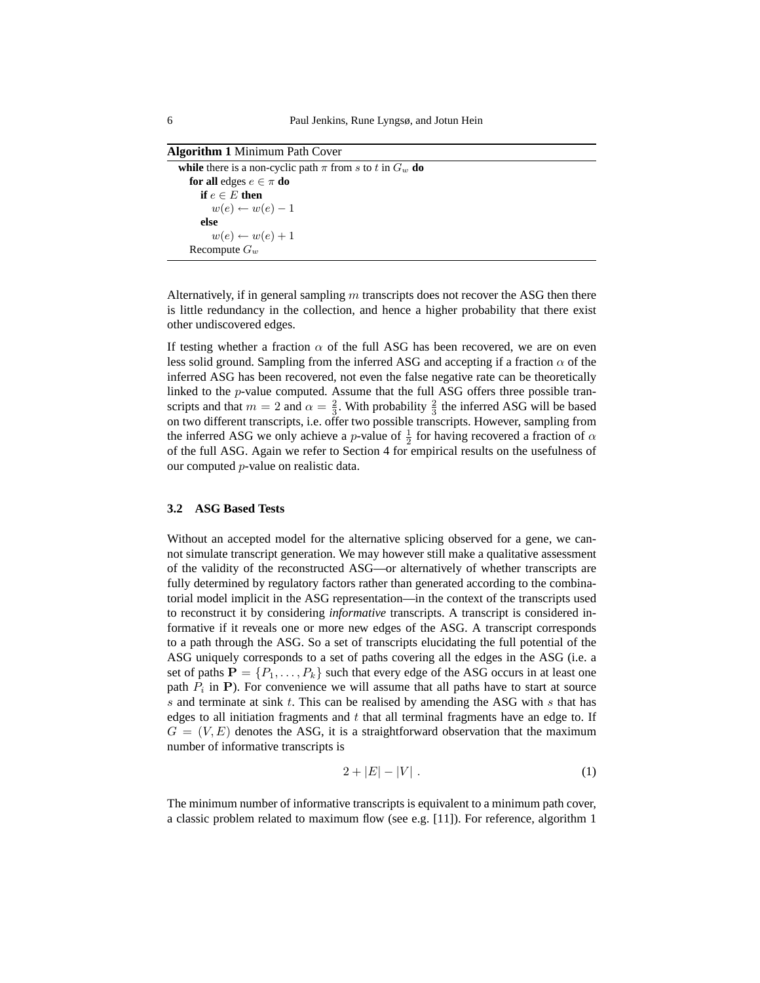**Algorithm 1** Minimum Path Cover

```
while there is a non-cyclic path \pi from s to t in G_w do
for all edges e \in \pi do
   if e \in E then
      w(e) \leftarrow w(e) - 1else
      w(e) \leftarrow w(e) + 1Recompute G_w
```
Alternatively, if in general sampling  $m$  transcripts does not recover the ASG then there is little redundancy in the collection, and hence a higher probability that there exist other undiscovered edges.

If testing whether a fraction  $\alpha$  of the full ASG has been recovered, we are on even less solid ground. Sampling from the inferred ASG and accepting if a fraction  $\alpha$  of the inferred ASG has been recovered, not even the false negative rate can be theoretically linked to the p-value computed. Assume that the full ASG offers three possible transcripts and that  $m = 2$  and  $\alpha = \frac{2}{3}$ . With probability  $\frac{2}{3}$  the inferred ASG will be based on two different transcripts, i.e. offer two possible transcripts. However, sampling from the inferred ASG we only achieve a *p*-value of  $\frac{1}{2}$  for having recovered a fraction of  $\alpha$ of the full ASG. Again we refer to Section 4 for empirical results on the usefulness of our computed p-value on realistic data.

#### **3.2 ASG Based Tests**

Without an accepted model for the alternative splicing observed for a gene, we cannot simulate transcript generation. We may however still make a qualitative assessment of the validity of the reconstructed ASG—or alternatively of whether transcripts are fully determined by regulatory factors rather than generated according to the combinatorial model implicit in the ASG representation—in the context of the transcripts used to reconstruct it by considering *informative* transcripts. A transcript is considered informative if it reveals one or more new edges of the ASG. A transcript corresponds to a path through the ASG. So a set of transcripts elucidating the full potential of the ASG uniquely corresponds to a set of paths covering all the edges in the ASG (i.e. a set of paths  $P = \{P_1, \ldots, P_k\}$  such that every edge of the ASG occurs in at least one path  $P_i$  in  $P$ ). For convenience we will assume that all paths have to start at source  $s$  and terminate at sink  $t$ . This can be realised by amending the ASG with  $s$  that has edges to all initiation fragments and  $t$  that all terminal fragments have an edge to. If  $G = (V, E)$  denotes the ASG, it is a straightforward observation that the maximum number of informative transcripts is

$$
2 + |E| - |V| \tag{1}
$$

The minimum number of informative transcripts is equivalent to a minimum path cover, a classic problem related to maximum flow (see e.g. [11]). For reference, algorithm 1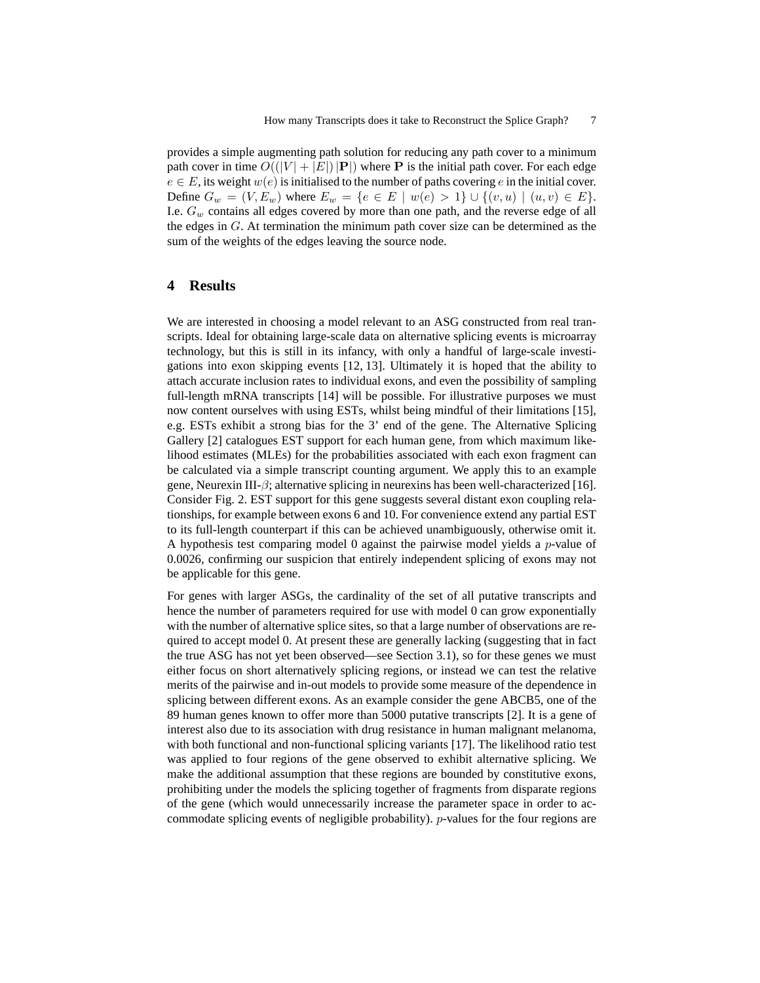provides a simple augmenting path solution for reducing any path cover to a minimum path cover in time  $O((|V| + |E|) |P|)$  where P is the initial path cover. For each edge  $e \in E$ , its weight  $w(e)$  is initialised to the number of paths covering e in the initial cover. Define  $G_w = (V, E_w)$  where  $E_w = \{e \in E \mid w(e) > 1\} \cup \{(v, u) \mid (u, v) \in E\}.$ I.e.  $G_w$  contains all edges covered by more than one path, and the reverse edge of all the edges in G. At termination the minimum path cover size can be determined as the sum of the weights of the edges leaving the source node.

# **4 Results**

We are interested in choosing a model relevant to an ASG constructed from real transcripts. Ideal for obtaining large-scale data on alternative splicing events is microarray technology, but this is still in its infancy, with only a handful of large-scale investigations into exon skipping events [12, 13]. Ultimately it is hoped that the ability to attach accurate inclusion rates to individual exons, and even the possibility of sampling full-length mRNA transcripts [14] will be possible. For illustrative purposes we must now content ourselves with using ESTs, whilst being mindful of their limitations [15], e.g. ESTs exhibit a strong bias for the 3' end of the gene. The Alternative Splicing Gallery [2] catalogues EST support for each human gene, from which maximum likelihood estimates (MLEs) for the probabilities associated with each exon fragment can be calculated via a simple transcript counting argument. We apply this to an example gene, Neurexin III- $\beta$ ; alternative splicing in neurexins has been well-characterized [16]. Consider Fig. 2. EST support for this gene suggests several distant exon coupling relationships, for example between exons 6 and 10. For convenience extend any partial EST to its full-length counterpart if this can be achieved unambiguously, otherwise omit it. A hypothesis test comparing model 0 against the pairwise model yields a  $p$ -value of 0.0026, confirming our suspicion that entirely independent splicing of exons may not be applicable for this gene.

For genes with larger ASGs, the cardinality of the set of all putative transcripts and hence the number of parameters required for use with model 0 can grow exponentially with the number of alternative splice sites, so that a large number of observations are required to accept model 0. At present these are generally lacking (suggesting that in fact the true ASG has not yet been observed—see Section 3.1), so for these genes we must either focus on short alternatively splicing regions, or instead we can test the relative merits of the pairwise and in-out models to provide some measure of the dependence in splicing between different exons. As an example consider the gene ABCB5, one of the 89 human genes known to offer more than 5000 putative transcripts [2]. It is a gene of interest also due to its association with drug resistance in human malignant melanoma, with both functional and non-functional splicing variants [17]. The likelihood ratio test was applied to four regions of the gene observed to exhibit alternative splicing. We make the additional assumption that these regions are bounded by constitutive exons, prohibiting under the models the splicing together of fragments from disparate regions of the gene (which would unnecessarily increase the parameter space in order to accommodate splicing events of negligible probability).  $p$ -values for the four regions are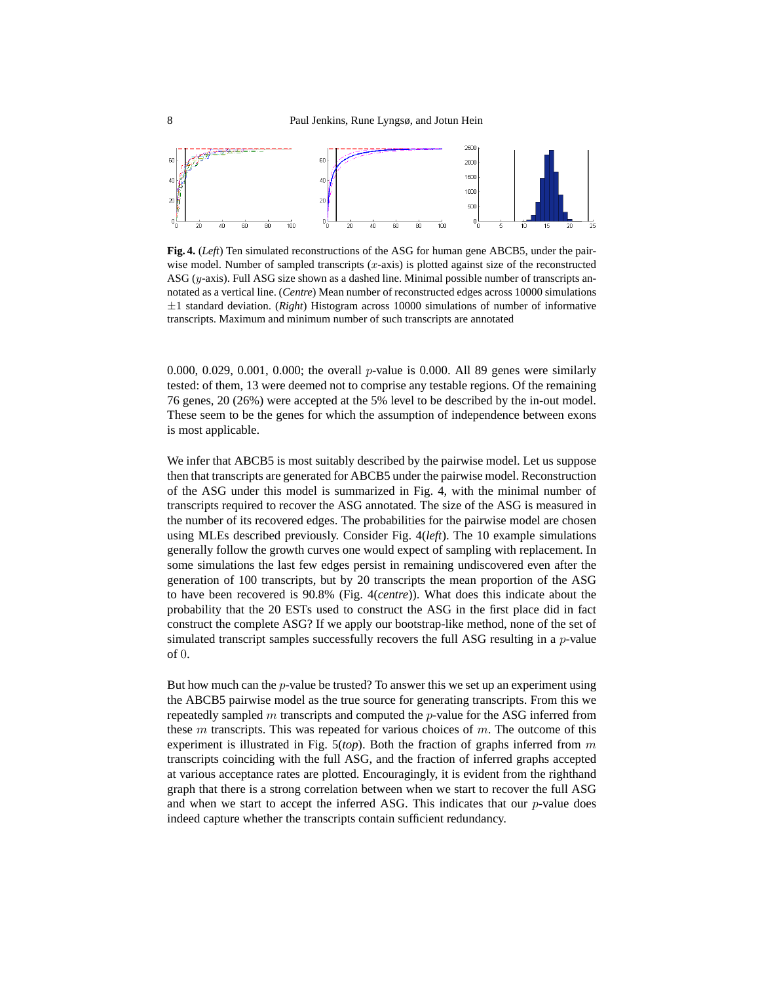

**Fig. 4.** (*Left*) Ten simulated reconstructions of the ASG for human gene ABCB5, under the pairwise model. Number of sampled transcripts  $(x$ -axis) is plotted against size of the reconstructed ASG (y-axis). Full ASG size shown as a dashed line. Minimal possible number of transcripts annotated as a vertical line. (*Centre*) Mean number of reconstructed edges across 10000 simulations  $\pm 1$  standard deviation. (*Right*) Histogram across 10000 simulations of number of informative transcripts. Maximum and minimum number of such transcripts are annotated

0.000, 0.029, 0.001, 0.000; the overall p-value is 0.000. All 89 genes were similarly tested: of them, 13 were deemed not to comprise any testable regions. Of the remaining 76 genes, 20 (26%) were accepted at the 5% level to be described by the in-out model. These seem to be the genes for which the assumption of independence between exons is most applicable.

We infer that ABCB5 is most suitably described by the pairwise model. Let us suppose then that transcripts are generated for ABCB5 under the pairwise model. Reconstruction of the ASG under this model is summarized in Fig. 4, with the minimal number of transcripts required to recover the ASG annotated. The size of the ASG is measured in the number of its recovered edges. The probabilities for the pairwise model are chosen using MLEs described previously. Consider Fig. 4(*left*). The 10 example simulations generally follow the growth curves one would expect of sampling with replacement. In some simulations the last few edges persist in remaining undiscovered even after the generation of 100 transcripts, but by 20 transcripts the mean proportion of the ASG to have been recovered is 90.8% (Fig. 4(*centre*)). What does this indicate about the probability that the 20 ESTs used to construct the ASG in the first place did in fact construct the complete ASG? If we apply our bootstrap-like method, none of the set of simulated transcript samples successfully recovers the full ASG resulting in a p-value of 0.

But how much can the  $p$ -value be trusted? To answer this we set up an experiment using the ABCB5 pairwise model as the true source for generating transcripts. From this we repeatedly sampled m transcripts and computed the  $p$ -value for the ASG inferred from these  $m$  transcripts. This was repeated for various choices of  $m$ . The outcome of this experiment is illustrated in Fig. 5(*top*). Both the fraction of graphs inferred from m transcripts coinciding with the full ASG, and the fraction of inferred graphs accepted at various acceptance rates are plotted. Encouragingly, it is evident from the righthand graph that there is a strong correlation between when we start to recover the full ASG and when we start to accept the inferred ASG. This indicates that our  $p$ -value does indeed capture whether the transcripts contain sufficient redundancy.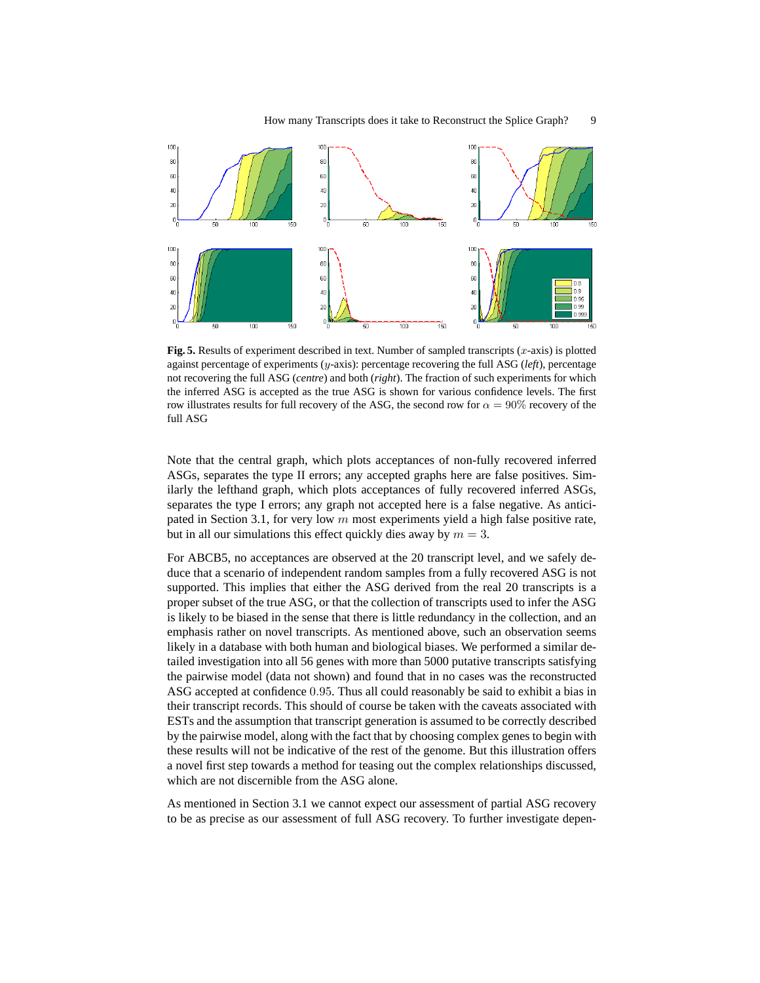

**Fig. 5.** Results of experiment described in text. Number of sampled transcripts  $(x$ -axis) is plotted against percentage of experiments (y-axis): percentage recovering the full ASG (*left*), percentage not recovering the full ASG (*centre*) and both (*right*). The fraction of such experiments for which the inferred ASG is accepted as the true ASG is shown for various confidence levels. The first row illustrates results for full recovery of the ASG, the second row for  $\alpha = 90\%$  recovery of the full ASG

Note that the central graph, which plots acceptances of non-fully recovered inferred ASGs, separates the type II errors; any accepted graphs here are false positives. Similarly the lefthand graph, which plots acceptances of fully recovered inferred ASGs, separates the type I errors; any graph not accepted here is a false negative. As anticipated in Section 3.1, for very low  $m$  most experiments yield a high false positive rate, but in all our simulations this effect quickly dies away by  $m = 3$ .

For ABCB5, no acceptances are observed at the 20 transcript level, and we safely deduce that a scenario of independent random samples from a fully recovered ASG is not supported. This implies that either the ASG derived from the real 20 transcripts is a proper subset of the true ASG, or that the collection of transcripts used to infer the ASG is likely to be biased in the sense that there is little redundancy in the collection, and an emphasis rather on novel transcripts. As mentioned above, such an observation seems likely in a database with both human and biological biases. We performed a similar detailed investigation into all 56 genes with more than 5000 putative transcripts satisfying the pairwise model (data not shown) and found that in no cases was the reconstructed ASG accepted at confidence 0.95. Thus all could reasonably be said to exhibit a bias in their transcript records. This should of course be taken with the caveats associated with ESTs and the assumption that transcript generation is assumed to be correctly described by the pairwise model, along with the fact that by choosing complex genes to begin with these results will not be indicative of the rest of the genome. But this illustration offers a novel first step towards a method for teasing out the complex relationships discussed, which are not discernible from the ASG alone.

As mentioned in Section 3.1 we cannot expect our assessment of partial ASG recovery to be as precise as our assessment of full ASG recovery. To further investigate depen-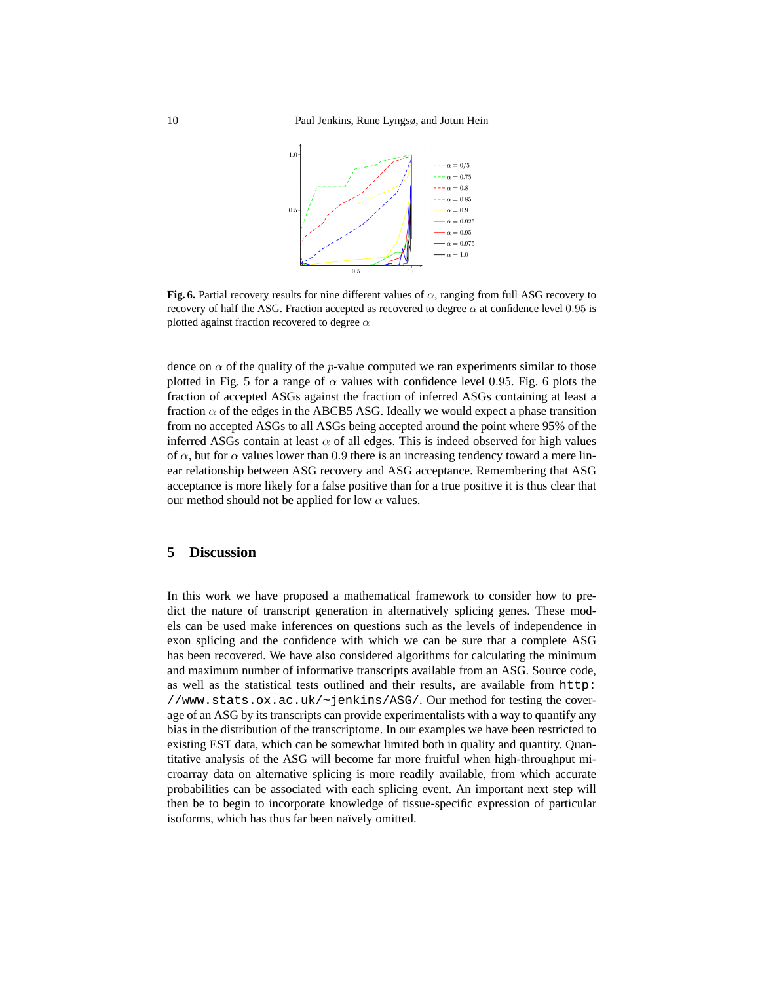

**Fig. 6.** Partial recovery results for nine different values of  $\alpha$ , ranging from full ASG recovery to recovery of half the ASG. Fraction accepted as recovered to degree  $\alpha$  at confidence level 0.95 is plotted against fraction recovered to degree  $\alpha$ 

dence on  $\alpha$  of the quality of the *p*-value computed we ran experiments similar to those plotted in Fig. 5 for a range of  $\alpha$  values with confidence level 0.95. Fig. 6 plots the fraction of accepted ASGs against the fraction of inferred ASGs containing at least a fraction  $\alpha$  of the edges in the ABCB5 ASG. Ideally we would expect a phase transition from no accepted ASGs to all ASGs being accepted around the point where 95% of the inferred ASGs contain at least  $\alpha$  of all edges. This is indeed observed for high values of  $\alpha$ , but for  $\alpha$  values lower than 0.9 there is an increasing tendency toward a mere linear relationship between ASG recovery and ASG acceptance. Remembering that ASG acceptance is more likely for a false positive than for a true positive it is thus clear that our method should not be applied for low  $\alpha$  values.

# **5 Discussion**

In this work we have proposed a mathematical framework to consider how to predict the nature of transcript generation in alternatively splicing genes. These models can be used make inferences on questions such as the levels of independence in exon splicing and the confidence with which we can be sure that a complete ASG has been recovered. We have also considered algorithms for calculating the minimum and maximum number of informative transcripts available from an ASG. Source code, as well as the statistical tests outlined and their results, are available from http: //www.stats.ox.ac.uk/~jenkins/ASG/. Our method for testing the coverage of an ASG by its transcripts can provide experimentalists with a way to quantify any bias in the distribution of the transcriptome. In our examples we have been restricted to existing EST data, which can be somewhat limited both in quality and quantity. Quantitative analysis of the ASG will become far more fruitful when high-throughput microarray data on alternative splicing is more readily available, from which accurate probabilities can be associated with each splicing event. An important next step will then be to begin to incorporate knowledge of tissue-specific expression of particular isoforms, which has thus far been naïvely omitted.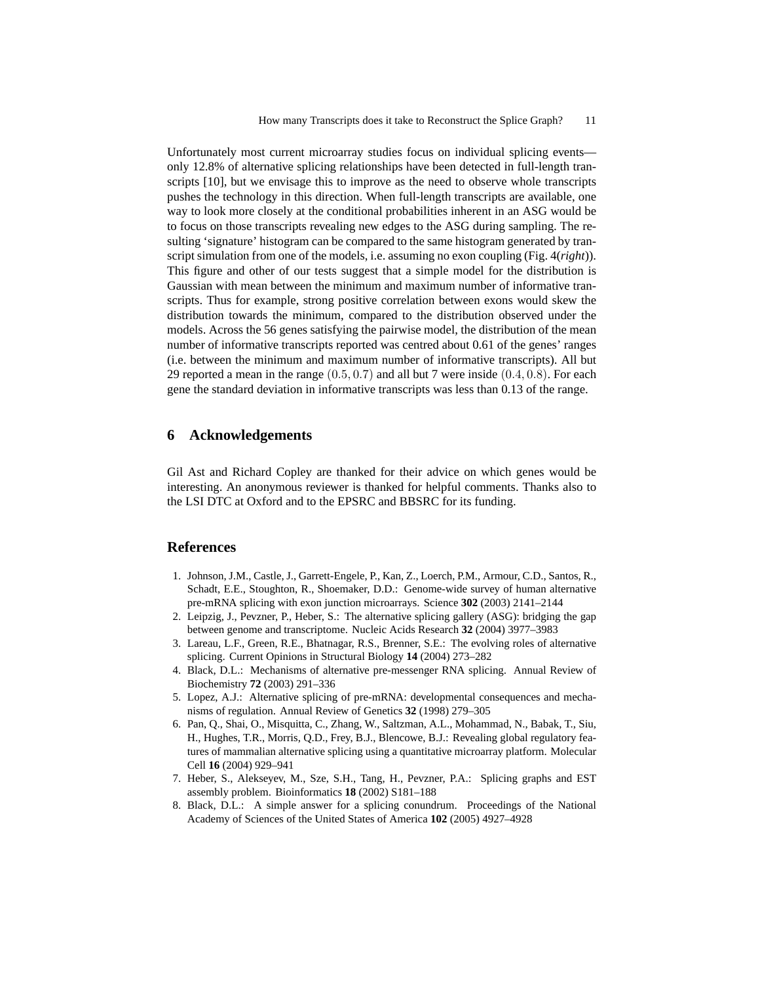Unfortunately most current microarray studies focus on individual splicing events only 12.8% of alternative splicing relationships have been detected in full-length transcripts [10], but we envisage this to improve as the need to observe whole transcripts pushes the technology in this direction. When full-length transcripts are available, one way to look more closely at the conditional probabilities inherent in an ASG would be to focus on those transcripts revealing new edges to the ASG during sampling. The resulting 'signature' histogram can be compared to the same histogram generated by transcript simulation from one of the models, i.e. assuming no exon coupling (Fig. 4(*right*)). This figure and other of our tests suggest that a simple model for the distribution is Gaussian with mean between the minimum and maximum number of informative transcripts. Thus for example, strong positive correlation between exons would skew the distribution towards the minimum, compared to the distribution observed under the models. Across the 56 genes satisfying the pairwise model, the distribution of the mean number of informative transcripts reported was centred about 0.61 of the genes' ranges (i.e. between the minimum and maximum number of informative transcripts). All but 29 reported a mean in the range  $(0.5, 0.7)$  and all but 7 were inside  $(0.4, 0.8)$ . For each gene the standard deviation in informative transcripts was less than 0.13 of the range.

# **6 Acknowledgements**

Gil Ast and Richard Copley are thanked for their advice on which genes would be interesting. An anonymous reviewer is thanked for helpful comments. Thanks also to the LSI DTC at Oxford and to the EPSRC and BBSRC for its funding.

### **References**

- 1. Johnson, J.M., Castle, J., Garrett-Engele, P., Kan, Z., Loerch, P.M., Armour, C.D., Santos, R., Schadt, E.E., Stoughton, R., Shoemaker, D.D.: Genome-wide survey of human alternative pre-mRNA splicing with exon junction microarrays. Science **302** (2003) 2141–2144
- 2. Leipzig, J., Pevzner, P., Heber, S.: The alternative splicing gallery (ASG): bridging the gap between genome and transcriptome. Nucleic Acids Research **32** (2004) 3977–3983
- 3. Lareau, L.F., Green, R.E., Bhatnagar, R.S., Brenner, S.E.: The evolving roles of alternative splicing. Current Opinions in Structural Biology **14** (2004) 273–282
- 4. Black, D.L.: Mechanisms of alternative pre-messenger RNA splicing. Annual Review of Biochemistry **72** (2003) 291–336
- 5. Lopez, A.J.: Alternative splicing of pre-mRNA: developmental consequences and mechanisms of regulation. Annual Review of Genetics **32** (1998) 279–305
- 6. Pan, Q., Shai, O., Misquitta, C., Zhang, W., Saltzman, A.L., Mohammad, N., Babak, T., Siu, H., Hughes, T.R., Morris, Q.D., Frey, B.J., Blencowe, B.J.: Revealing global regulatory features of mammalian alternative splicing using a quantitative microarray platform. Molecular Cell **16** (2004) 929–941
- 7. Heber, S., Alekseyev, M., Sze, S.H., Tang, H., Pevzner, P.A.: Splicing graphs and EST assembly problem. Bioinformatics **18** (2002) S181–188
- 8. Black, D.L.: A simple answer for a splicing conundrum. Proceedings of the National Academy of Sciences of the United States of America **102** (2005) 4927–4928